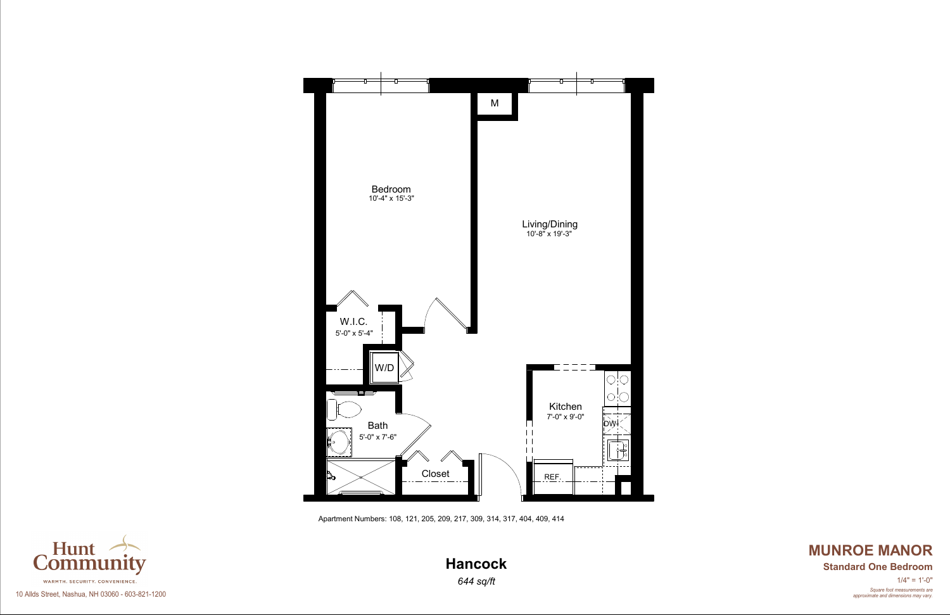Apartment Numbers: 108, 121, 205, 209, 217, 309, 314, 317, 404, 409, 414



*Square foot measurements are approximate and dimensions may vary.*  $1/4" = 1'-0"$ 

# **MUNROE MANOR Hancock Standard One Bedroom**



10 Allds Street, Nashua, NH 03060 - 603-821-1200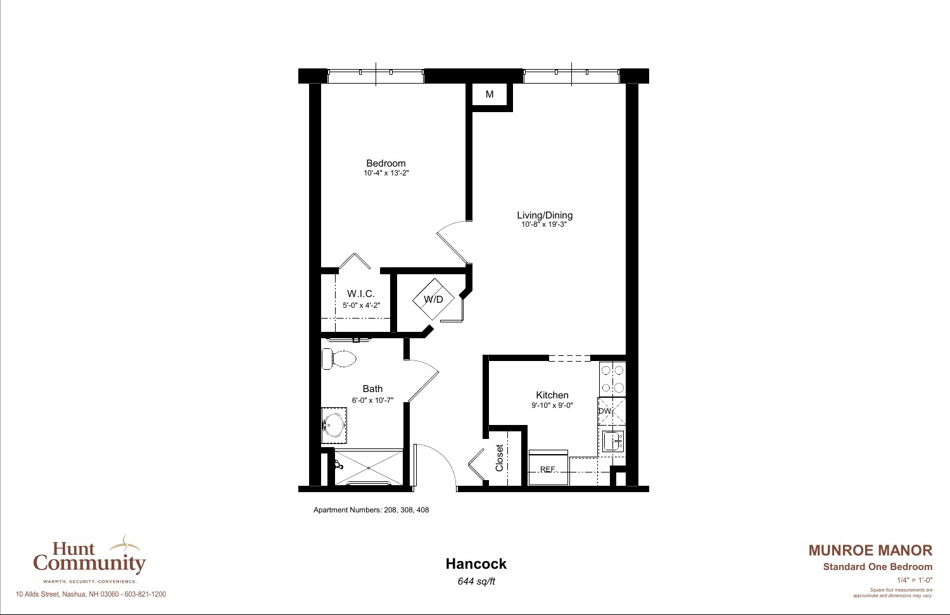Apartment Numbers: 208, 308, 408



*Square foot measurements are approximate and dimensions may vary.*  $1/4" = 1'-0"$ 

# **MUNROE MANOR Hancock Standard One Bedroom**



10 Allds Street, Nashua, NH 03060 - 603-821-1200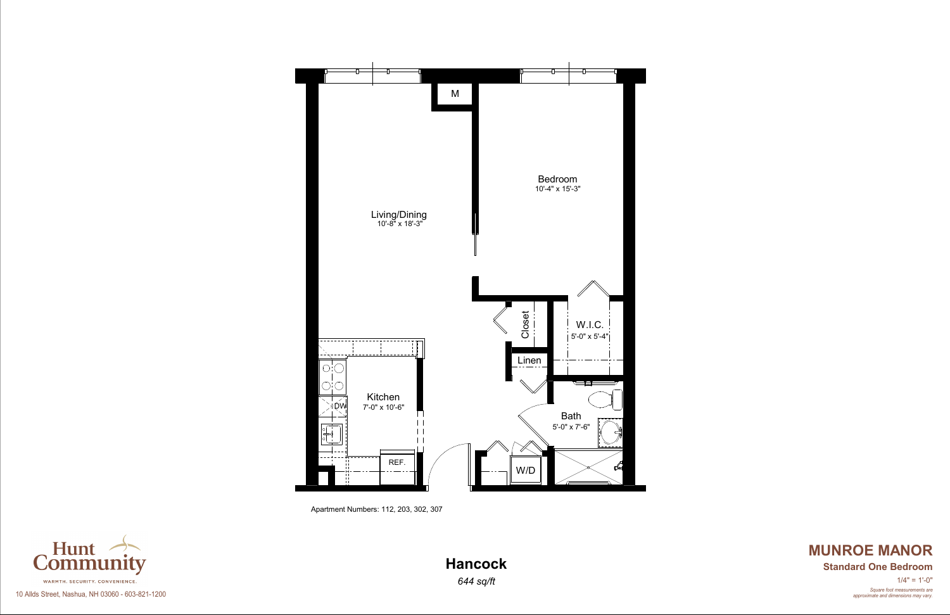

# **MUNROE MANOR Hancock Standard One Bedroom**

Apartment Numbers: 112, 203, 302, 307



10 Allds Street, Nashua, NH 03060 - 603-821-1200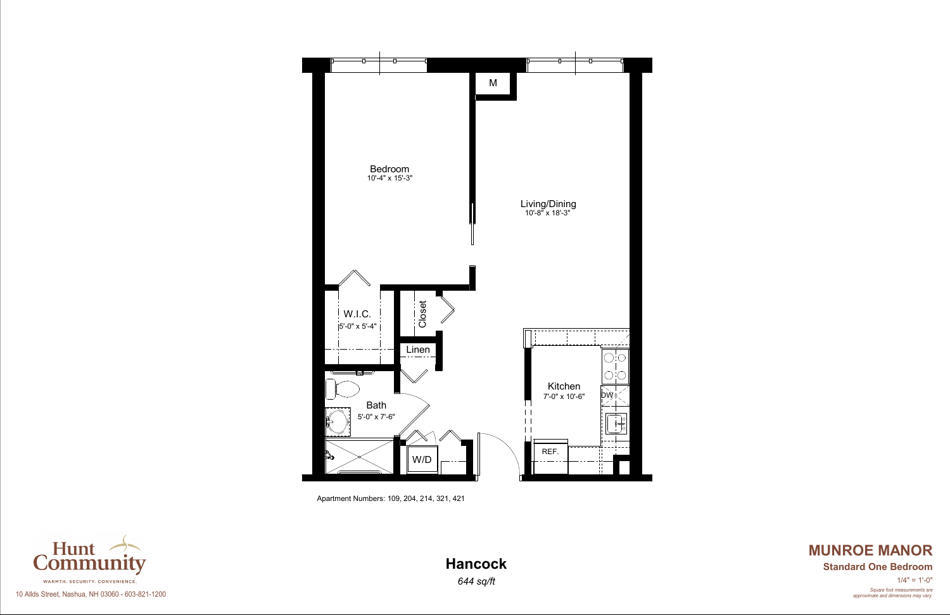

# **MUNROE MANOR Hancock Standard One Bedroom**

Apartment Numbers: 109, 204, 214, 321, 421



## 10 Allds Street, Nashua, NH 03060 - 603-821-1200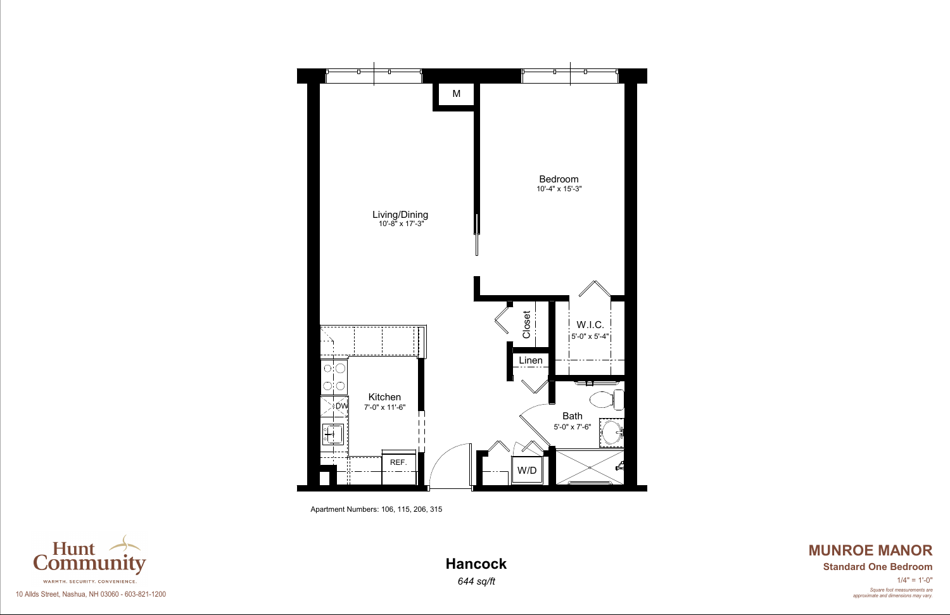

# **MUNROE MANOR Hancock Standard One Bedroom**

Apartment Numbers: 106, 115, 206, 315

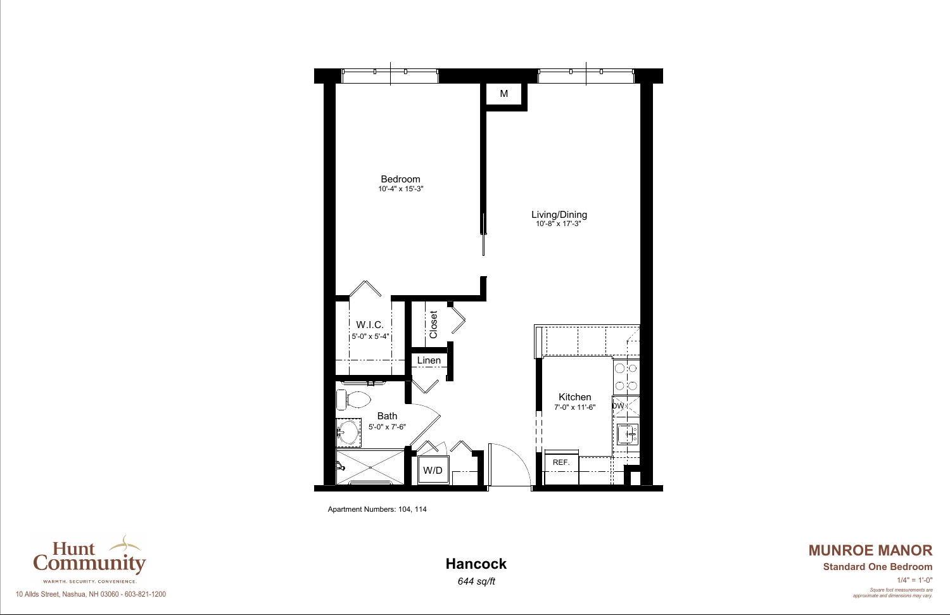

# **MUNROE MANOR Hancock Standard One Bedroom**

Apartment Numbers: 104, 114



10 Allds Street, Nashua, NH 03060 - 603-821-1200